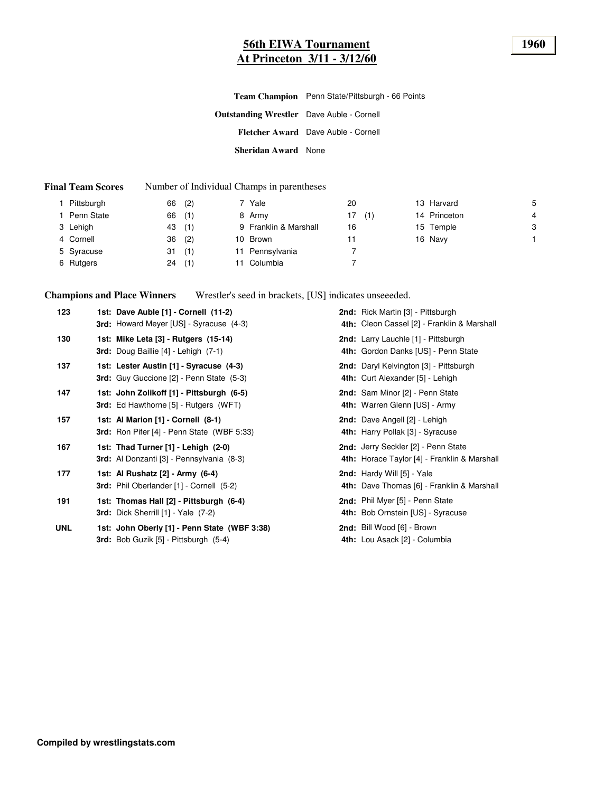#### **56th EIWA Tournament 1960 At Princeton 3/11 - 3/12/60**

#### **Final Team Scores** Number of Individual Champs in parentheses

| Pittsburgh | (2)<br>66 | Yale                  | 20        | 13 Harvard   | 5 |
|------------|-----------|-----------------------|-----------|--------------|---|
| Penn State | (1)<br>66 | 8 Army                | 17<br>(1) | 14 Princeton | 4 |
| 3 Lehigh   | (1)<br>43 | 9 Franklin & Marshall | 16        | 15 Temple    | 3 |
| 4 Cornell  | (2)<br>36 | 10 Brown              | 11        | 16 Navy      |   |
| 5 Syracuse | (1)<br>31 | Pennsylvania          |           |              |   |
| 6 Rutgers  | (1)<br>24 | Columbia              |           |              |   |

**Champions and Place Winners** Wrestler's seed in brackets, [US] indicates unseeeded.

| 123        | 1st: Dave Auble [1] - Cornell (11-2)<br>3rd: Howard Meyer [US] - Syracuse (4-3)           | 2nd: Rick Martin [3] - Pittsburgh<br>4th: Cleon Cassel [2] - Franklin & Marshall    |
|------------|-------------------------------------------------------------------------------------------|-------------------------------------------------------------------------------------|
| 130        | 1st: Mike Leta [3] - Rutgers (15-14)<br><b>3rd:</b> Doug Baillie $[4]$ - Lehigh $(7-1)$   | <b>2nd:</b> Larry Lauchle [1] - Pittsburgh<br>4th: Gordon Danks [US] - Penn State   |
| 137        | 1st: Lester Austin [1] - Syracuse (4-3)<br>3rd: Guy Guccione [2] - Penn State (5-3)       | 2nd: Daryl Kelvington [3] - Pittsburgh<br>4th: Curt Alexander [5] - Lehigh          |
| 147        | 1st: John Zolikoff [1] - Pittsburgh (6-5)<br>3rd: Ed Hawthorne [5] - Rutgers (WFT)        | 2nd: Sam Minor [2] - Penn State<br>4th: Warren Glenn [US] - Army                    |
| 157        | 1st: Al Marion [1] - Cornell (8-1)<br><b>3rd:</b> Ron Pifer [4] - Penn State (WBF 5:33)   | 2nd: Dave Angell [2] - Lehigh<br>4th: Harry Pollak [3] - Syracuse                   |
| 167        | 1st: Thad Turner [1] - Lehigh (2-0)<br><b>3rd:</b> Al Donzanti [3] - Pennsylvania (8-3)   | 2nd: Jerry Seckler [2] - Penn State<br>4th: Horace Taylor [4] - Franklin & Marshall |
| 177        | 1st: Al Rushatz [2] - Army (6-4)<br><b>3rd:</b> Phil Oberlander [1] - Cornell (5-2)       | 2nd: Hardy Will [5] - Yale<br>4th: Dave Thomas [6] - Franklin & Marshall            |
| 191        | 1st: Thomas Hall [2] - Pittsburgh (6-4)<br><b>3rd:</b> Dick Sherrill $[1]$ - Yale $(7-2)$ | 2nd: Phil Myer [5] - Penn State<br>4th: Bob Ornstein [US] - Syracuse                |
| <b>UNL</b> | 1st: John Oberly [1] - Penn State (WBF 3:38)<br>3rd: Bob Guzik [5] - Pittsburgh (5-4)     | 2nd: Bill Wood [6] - Brown<br>4th: Lou Asack [2] - Columbia                         |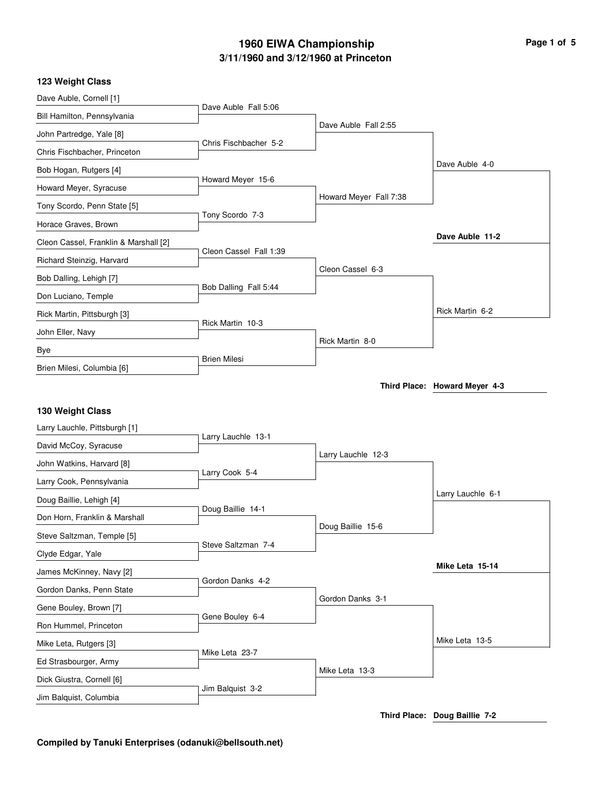# **3/11/1960 and 3/12/1960 at Princeton 1960 EIWA Championship Page 1 of 5**

#### **123 Weight Class**

| Dave Auble, Cornell [1]               |                        |                        |                   |
|---------------------------------------|------------------------|------------------------|-------------------|
| Bill Hamilton, Pennsylvania           | Dave Auble Fall 5:06   |                        |                   |
| John Partredge, Yale [8]              |                        | Dave Auble Fall 2:55   |                   |
| Chris Fischbacher, Princeton          | Chris Fischbacher 5-2  |                        |                   |
| Bob Hogan, Rutgers [4]                |                        |                        | Dave Auble 4-0    |
| Howard Meyer, Syracuse                | Howard Meyer 15-6      |                        |                   |
| Tony Scordo, Penn State [5]           |                        | Howard Meyer Fall 7:38 |                   |
| Horace Graves, Brown                  | Tony Scordo 7-3        |                        |                   |
| Cleon Cassel, Franklin & Marshall [2] |                        |                        | Dave Auble 11-2   |
| Richard Steinzig, Harvard             | Cleon Cassel Fall 1:39 |                        |                   |
| Bob Dalling, Lehigh [7]               |                        | Cleon Cassel 6-3       |                   |
| Don Luciano, Temple                   | Bob Dalling Fall 5:44  |                        |                   |
| Rick Martin, Pittsburgh [3]           |                        |                        | Rick Martin 6-2   |
| John Eller, Navy                      | Rick Martin 10-3       |                        |                   |
| Bye                                   |                        | Rick Martin 8-0        |                   |
| Brien Milesi, Columbia [6]            | <b>Brien Milesi</b>    |                        |                   |
| 130 Weight Class                      |                        |                        |                   |
| Larry Lauchle, Pittsburgh [1]         |                        |                        |                   |
| David McCoy, Syracuse                 | Larry Lauchle 13-1     |                        |                   |
| John Watkins, Harvard [8]             |                        | Larry Lauchle 12-3     |                   |
| Larry Cook, Pennsylvania              | Larry Cook 5-4         |                        |                   |
| Doug Baillie, Lehigh [4]              |                        |                        | Larry Lauchle 6-1 |
| Don Horn, Franklin & Marshall         | Doug Baillie 14-1      |                        |                   |
| Steve Saltzman, Temple [5]            |                        | Doug Baillie 15-6      |                   |
| Clyde Edgar, Yale                     | Steve Saltzman 7-4     |                        |                   |
| James McKinney, Navy [2]              |                        |                        | Mike Leta 15-14   |
| Gordon Danks, Penn State              | Gordon Danks 4-2       |                        |                   |
| Gene Bouley, Brown [7]                | Gene Bouley 6-4        | Gordon Danks 3-1       |                   |
| Ron Hummel, Princeton                 |                        |                        |                   |
| Mike Leta, Rutgers [3]                |                        |                        | Mike Leta 13-5    |
| Ed Strasbourger, Army                 | Mike Leta 23-7         |                        |                   |
| Dick Giustra, Cornell [6]             |                        | Mike Leta 13-3         |                   |
| Jim Balquist, Columbia                | Jim Balquist 3-2       |                        |                   |
|                                       |                        |                        |                   |

**Third Place: Doug Baillie 7-2**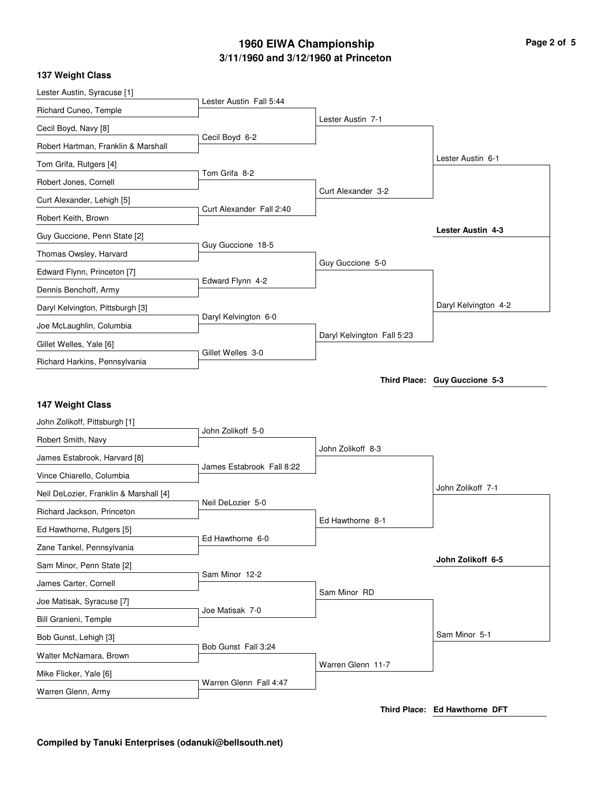# **3/11/1960 and 3/12/1960 at Princeton 1960 EIWA Championship Page 2 of 5**

|  | 137 Weight Class |  |
|--|------------------|--|
|--|------------------|--|

| Lester Austin, Syracuse [1]                  |                           |                            |                               |
|----------------------------------------------|---------------------------|----------------------------|-------------------------------|
| Richard Cuneo, Temple                        | Lester Austin Fall 5:44   |                            |                               |
| Cecil Boyd, Navy [8]                         |                           | Lester Austin 7-1          |                               |
| Robert Hartman, Franklin & Marshall          | Cecil Boyd 6-2            |                            |                               |
| Tom Grifa, Rutgers [4]                       |                           |                            | Lester Austin 6-1             |
| Robert Jones, Cornell                        | Tom Grifa 8-2             |                            |                               |
| Curt Alexander, Lehigh [5]                   |                           | Curt Alexander 3-2         |                               |
| Robert Keith, Brown                          | Curt Alexander Fall 2:40  |                            |                               |
| Guy Guccione, Penn State [2]                 |                           |                            | Lester Austin 4-3             |
| Thomas Owsley, Harvard                       | Guy Guccione 18-5         |                            |                               |
| Edward Flynn, Princeton [7]                  |                           | Guy Guccione 5-0           |                               |
| Dennis Benchoff, Army                        | Edward Flynn 4-2          |                            |                               |
| Daryl Kelvington, Pittsburgh [3]             |                           |                            | Daryl Kelvington 4-2          |
| Joe McLaughlin, Columbia                     | Daryl Kelvington 6-0      |                            |                               |
| Gillet Welles, Yale [6]                      |                           | Daryl Kelvington Fall 5:23 |                               |
| Richard Harkins, Pennsylvania                | Gillet Welles 3-0         |                            |                               |
|                                              |                           |                            | Third Place: Guy Guccione 5-3 |
|                                              |                           |                            |                               |
|                                              |                           |                            |                               |
| 147 Weight Class                             |                           |                            |                               |
| John Zolikoff, Pittsburgh [1]                | John Zolikoff 5-0         |                            |                               |
| Robert Smith, Navy                           |                           | John Zolikoff 8-3          |                               |
| James Estabrook, Harvard [8]                 | James Estabrook Fall 8:22 |                            |                               |
| Vince Chiarello, Columbia                    |                           |                            | John Zolikoff 7-1             |
| Neil DeLozier, Franklin & Marshall [4]       | Neil DeLozier 5-0         |                            |                               |
| Richard Jackson, Princeton                   |                           | Ed Hawthorne 8-1           |                               |
| Ed Hawthorne, Rutgers [5]                    | Ed Hawthorne 6-0          |                            |                               |
| Zane Tankel, Pennsylvania                    |                           |                            | John Zolikoff 6-5             |
| Sam Minor, Penn State [2]                    | Sam Minor 12-2            |                            |                               |
| James Carter, Cornell                        |                           | Sam Minor RD               |                               |
| Joe Matisak, Syracuse [7]                    | Joe Matisak 7-0           |                            |                               |
| Bill Granieni, Temple                        |                           |                            | Sam Minor 5-1                 |
| Bob Gunst, Lehigh [3]                        | Bob Gunst Fall 3:24       |                            |                               |
| Walter McNamara, Brown                       |                           | Warren Glenn 11-7          |                               |
| Mike Flicker, Yale [6]<br>Warren Glenn, Army | Warren Glenn Fall 4:47    |                            |                               |

**Third Place: Ed Hawthorne DFT**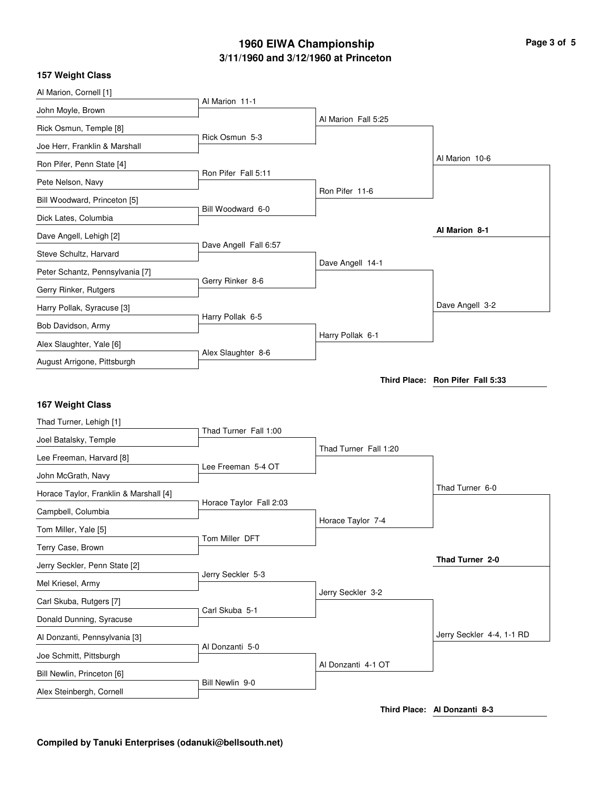# **3/11/1960 and 3/12/1960 at Princeton 1960 EIWA Championship Page 3 of 5**

| 157 Weight Class                       |                         |                       |                                  |
|----------------------------------------|-------------------------|-----------------------|----------------------------------|
| Al Marion, Cornell [1]                 |                         |                       |                                  |
| John Moyle, Brown                      | Al Marion 11-1          |                       |                                  |
| Rick Osmun, Temple [8]                 |                         | Al Marion Fall 5:25   |                                  |
| Joe Herr, Franklin & Marshall          | Rick Osmun 5-3          |                       |                                  |
| Ron Pifer, Penn State [4]              |                         |                       | Al Marion 10-6                   |
| Pete Nelson, Navy                      | Ron Pifer Fall 5:11     |                       |                                  |
| Bill Woodward, Princeton [5]           |                         | Ron Pifer 11-6        |                                  |
| Dick Lates, Columbia                   | Bill Woodward 6-0       |                       |                                  |
| Dave Angell, Lehigh [2]                |                         |                       | Al Marion 8-1                    |
| Steve Schultz, Harvard                 | Dave Angell Fall 6:57   |                       |                                  |
| Peter Schantz, Pennsylvania [7]        |                         | Dave Angell 14-1      |                                  |
| Gerry Rinker, Rutgers                  | Gerry Rinker 8-6        |                       |                                  |
| Harry Pollak, Syracuse [3]             |                         |                       | Dave Angell 3-2                  |
| Bob Davidson, Army                     | Harry Pollak 6-5        |                       |                                  |
| Alex Slaughter, Yale [6]               |                         | Harry Pollak 6-1      |                                  |
| August Arrigone, Pittsburgh            | Alex Slaughter 8-6      |                       |                                  |
|                                        |                         |                       | Third Place: Ron Pifer Fall 5:33 |
|                                        |                         |                       |                                  |
| 167 Weight Class                       |                         |                       |                                  |
| Thad Turner, Lehigh [1]                | Thad Turner Fall 1:00   |                       |                                  |
| Joel Batalsky, Temple                  |                         | Thad Turner Fall 1:20 |                                  |
| Lee Freeman, Harvard [8]               | Lee Freeman 5-4 OT      |                       |                                  |
| John McGrath, Navy                     |                         |                       | Thad Turner 6-0                  |
| Horace Taylor, Franklin & Marshall [4] | Horace Taylor Fall 2:03 |                       |                                  |
| Campbell, Columbia                     |                         | Horace Taylor 7-4     |                                  |
| Tom Miller, Yale [5]                   | Tom Miller DFT          |                       |                                  |
| Terry Case, Brown                      |                         |                       |                                  |
| Jerry Seckler, Penn State [2]          | Jerry Seckler 5-3       |                       | Thad Turner 2-0                  |
| Mel Kriesel, Army                      |                         |                       |                                  |
| Carl Skuba, Rutgers [7]                |                         | Jerry Seckler 3-2     |                                  |
| Donald Dunning, Syracuse               | Carl Skuba 5-1          |                       |                                  |
| Al Donzanti, Pennsylvania [3]          |                         |                       | Jerry Seckler 4-4, 1-1 RD        |
| Joe Schmitt, Pittsburgh                | Al Donzanti 5-0         |                       |                                  |
| Bill Newlin, Princeton [6]             |                         | Al Donzanti 4-1 OT    |                                  |
| Alex Steinbergh, Cornell               | Bill Newlin 9-0         |                       |                                  |

**Third Place: Al Donzanti 8-3**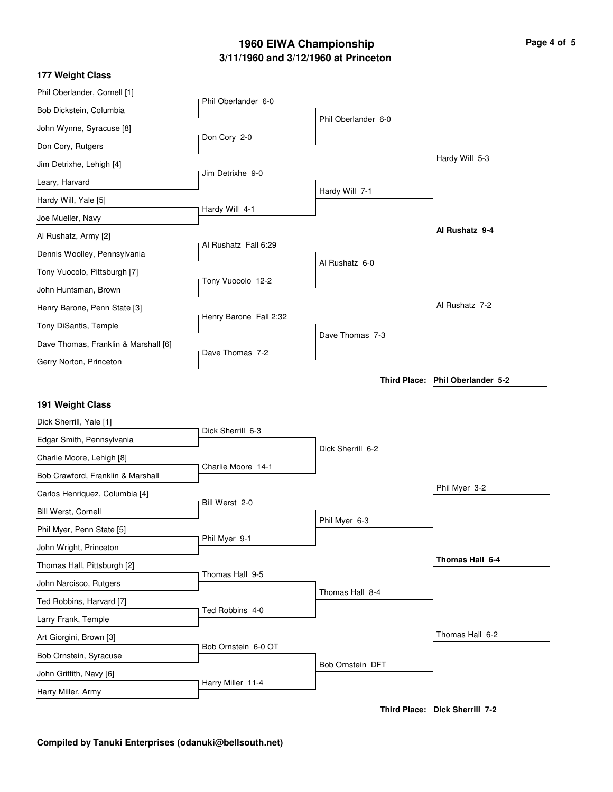# **3/11/1960 and 3/12/1960 at Princeton 1960 EIWA Championship Page 4 of 5**

| Phil Oberlander, Cornell [1]                  |                        |                     |                                  |
|-----------------------------------------------|------------------------|---------------------|----------------------------------|
| Bob Dickstein, Columbia                       | Phil Oberlander 6-0    |                     |                                  |
| John Wynne, Syracuse [8]                      |                        | Phil Oberlander 6-0 |                                  |
| Don Cory, Rutgers                             | Don Cory 2-0           |                     |                                  |
| Jim Detrixhe, Lehigh [4]                      |                        |                     | Hardy Will 5-3                   |
| Leary, Harvard                                | Jim Detrixhe 9-0       |                     |                                  |
| Hardy Will, Yale [5]                          |                        | Hardy Will 7-1      |                                  |
| Joe Mueller, Navy                             | Hardy Will 4-1         |                     |                                  |
| Al Rushatz, Army [2]                          |                        |                     | Al Rushatz 9-4                   |
| Dennis Woolley, Pennsylvania                  | Al Rushatz Fall 6:29   |                     |                                  |
| Tony Vuocolo, Pittsburgh [7]                  |                        | Al Rushatz 6-0      |                                  |
| John Huntsman, Brown                          | Tony Vuocolo 12-2      |                     |                                  |
| Henry Barone, Penn State [3]                  |                        |                     | Al Rushatz 7-2                   |
| Tony DiSantis, Temple                         | Henry Barone Fall 2:32 |                     |                                  |
| Dave Thomas, Franklin & Marshall [6]          |                        | Dave Thomas 7-3     |                                  |
| Gerry Norton, Princeton                       | Dave Thomas 7-2        |                     |                                  |
|                                               |                        |                     | Third Place: Phil Oberlander 5-2 |
|                                               |                        |                     |                                  |
|                                               |                        |                     |                                  |
| 191 Weight Class                              |                        |                     |                                  |
| Dick Sherrill, Yale [1]                       | Dick Sherrill 6-3      |                     |                                  |
| Edgar Smith, Pennsylvania                     |                        | Dick Sherrill 6-2   |                                  |
| Charlie Moore, Lehigh [8]                     | Charlie Moore 14-1     |                     |                                  |
| Bob Crawford, Franklin & Marshall             |                        |                     | Phil Myer 3-2                    |
| Carlos Henriquez, Columbia [4]                | Bill Werst 2-0         |                     |                                  |
| Bill Werst, Cornell                           |                        | Phil Myer 6-3       |                                  |
| Phil Myer, Penn State [5]                     | Phil Myer 9-1          |                     |                                  |
| John Wright, Princeton                        |                        |                     | Thomas Hall 6-4                  |
| Thomas Hall, Pittsburgh [2]                   | Thomas Hall 9-5        |                     |                                  |
| John Narcisco, Rutgers                        |                        | Thomas Hall 8-4     |                                  |
| Ted Robbins, Harvard [7]                      | Ted Robbins 4-0        |                     |                                  |
| Larry Frank, Temple                           |                        |                     | Thomas Hall 6-2                  |
| Art Giorgini, Brown [3]                       | Bob Ornstein 6-0 OT    |                     |                                  |
| Bob Ornstein, Syracuse                        |                        | Bob Ornstein DFT    |                                  |
| John Griffith, Navy [6]<br>Harry Miller, Army | Harry Miller 11-4      |                     |                                  |

**Third Place: Dick Sherrill 7-2**